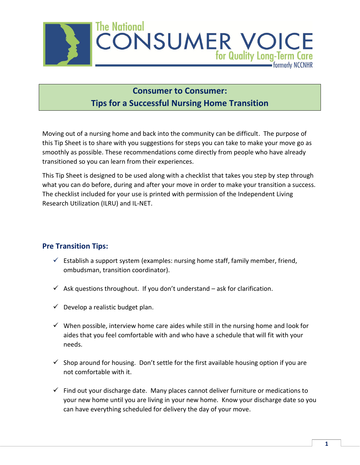

## **Consumer to Consumer: Tips for a Successful Nursing Home Transition**

Moving out of a nursing home and back into the community can be difficult. The purpose of this Tip Sheet is to share with you suggestions for steps you can take to make your move go as smoothly as possible. These recommendations come directly from people who have already transitioned so you can learn from their experiences.

This Tip Sheet is designed to be used along with a checklist that takes you step by step through what you can do before, during and after your move in order to make your transition a success. The checklist included for your use is printed with permission of the Independent Living Research Utilization (ILRU) and IL-NET.

## **Pre Transition Tips:**

- $\checkmark$  Establish a support system (examples: nursing home staff, family member, friend, ombudsman, transition coordinator).
- $\checkmark$  Ask questions throughout. If you don't understand ask for clarification.
- $\checkmark$  Develop a realistic budget plan.
- $\checkmark$  When possible, interview home care aides while still in the nursing home and look for aides that you feel comfortable with and who have a schedule that will fit with your needs.
- $\checkmark$  Shop around for housing. Don't settle for the first available housing option if you are not comfortable with it.
- $\checkmark$  Find out your discharge date. Many places cannot deliver furniture or medications to your new home until you are living in your new home. Know your discharge date so you can have everything scheduled for delivery the day of your move.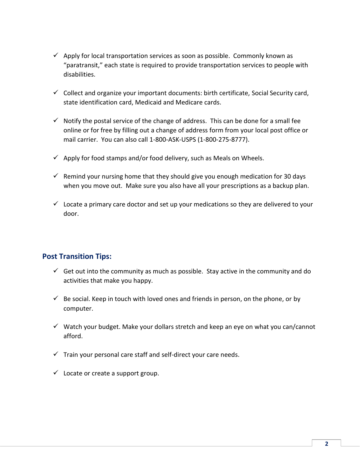- $\checkmark$  Apply for local transportation services as soon as possible. Commonly known as "paratransit," each state is required to provide transportation services to people with disabilities.
- $\checkmark$  Collect and organize your important documents: birth certificate, Social Security card, state identification card, Medicaid and Medicare cards.
- $\checkmark$  Notify the postal service of the change of address. This can be done for a small fee online or for free by filling out a change of address form from your local post office or mail carrier. You can also call 1-800-ASK-USPS (1-800-275-8777).
- $\checkmark$  Apply for food stamps and/or food delivery, such as Meals on Wheels.
- $\checkmark$  Remind your nursing home that they should give you enough medication for 30 days when you move out. Make sure you also have all your prescriptions as a backup plan.
- $\checkmark$  Locate a primary care doctor and set up your medications so they are delivered to your door.

## **Post Transition Tips:**

- $\checkmark$  Get out into the community as much as possible. Stay active in the community and do activities that make you happy.
- $\checkmark$  Be social. Keep in touch with loved ones and friends in person, on the phone, or by computer.
- $\checkmark$  Watch your budget. Make your dollars stretch and keep an eye on what you can/cannot afford.
- $\checkmark$  Train your personal care staff and self-direct your care needs.
- $\checkmark$  Locate or create a support group.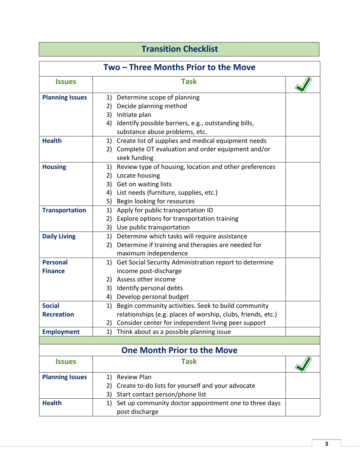## **Transition Checklist**

| Two - Three Months Prior to the Move |                                                              |  |  |  |
|--------------------------------------|--------------------------------------------------------------|--|--|--|
| <b>Issues</b>                        | <b>Task</b>                                                  |  |  |  |
| <b>Planning Issues</b>               | Determine scope of planning<br>1)                            |  |  |  |
|                                      | 2) Decide planning method                                    |  |  |  |
|                                      | Initiate plan<br>3)                                          |  |  |  |
|                                      | 4) Identify possible barriers, e.g., outstanding bills,      |  |  |  |
|                                      | substance abuse problems, etc.                               |  |  |  |
| <b>Health</b>                        | 1) Create list of supplies and medical equipment needs       |  |  |  |
|                                      | Complete OT evaluation and order equipment and/or<br>2)      |  |  |  |
|                                      | seek funding                                                 |  |  |  |
| <b>Housing</b>                       | Review type of housing, location and other preferences<br>1) |  |  |  |
|                                      | Locate housing<br>2)                                         |  |  |  |
|                                      | Get on waiting lists<br>3)                                   |  |  |  |
|                                      | List needs (furniture, supplies, etc.)<br>4)                 |  |  |  |
|                                      | 5) Begin looking for resources                               |  |  |  |
| <b>Transportation</b>                | Apply for public transportation ID<br>1)                     |  |  |  |
|                                      | Explore options for transportation training<br>2)            |  |  |  |
|                                      | 3)<br>Use public transportation                              |  |  |  |
| <b>Daily Living</b>                  | 1) Determine which tasks will require assistance             |  |  |  |
|                                      | Determine if training and therapies are needed for<br>2)     |  |  |  |
|                                      | maximum independence                                         |  |  |  |
| <b>Personal</b>                      | Get Social Security Administration report to determine<br>1) |  |  |  |
| <b>Finance</b>                       | income post-discharge                                        |  |  |  |
|                                      | 2) Assess other income                                       |  |  |  |
|                                      | Identify personal debts<br>3)                                |  |  |  |
|                                      | Develop personal budget<br>4)                                |  |  |  |
| <b>Social</b>                        | Begin community activities. Seek to build community<br>1)    |  |  |  |
| <b>Recreation</b>                    | relationships (e.g. places of worship, clubs, friends, etc.) |  |  |  |
|                                      | 2) Consider center for independent living peer support       |  |  |  |
| <b>Employment</b>                    | Think about as a possible planning issue<br>1)               |  |  |  |
|                                      |                                                              |  |  |  |
|                                      | <b>One Month Prior to the Move</b>                           |  |  |  |
| <b>Issues</b>                        | <b>Task</b>                                                  |  |  |  |
| <b>Planning Issues</b>               | <b>Review Plan</b><br>1)                                     |  |  |  |
|                                      | Create to-do lists for yourself and your advocate<br>2)      |  |  |  |
|                                      | Start contact person/phone list<br>3)                        |  |  |  |
| <b>Health</b>                        | Set up community doctor appointment one to three days<br>1)  |  |  |  |
|                                      | post discharge                                               |  |  |  |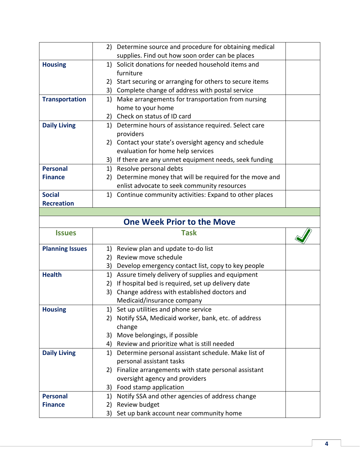|                        | Determine source and procedure for obtaining medical<br>2)           |  |
|------------------------|----------------------------------------------------------------------|--|
|                        | supplies. Find out how soon order can be places                      |  |
| <b>Housing</b>         | 1) Solicit donations for needed household items and                  |  |
|                        | furniture                                                            |  |
|                        | Start securing or arranging for others to secure items<br>2)         |  |
|                        | 3) Complete change of address with postal service                    |  |
| <b>Transportation</b>  | Make arrangements for transportation from nursing<br>1)              |  |
|                        | home to your home                                                    |  |
|                        | 2) Check on status of ID card                                        |  |
| <b>Daily Living</b>    | Determine hours of assistance required. Select care<br>1)            |  |
|                        | providers                                                            |  |
|                        | 2) Contact your state's oversight agency and schedule                |  |
|                        | evaluation for home help services                                    |  |
|                        | If there are any unmet equipment needs, seek funding<br>3)           |  |
| <b>Personal</b>        | Resolve personal debts<br>1)                                         |  |
| <b>Finance</b>         | Determine money that will be required for the move and<br>2)         |  |
|                        | enlist advocate to seek community resources                          |  |
| <b>Social</b>          | Continue community activities: Expand to other places<br>1)          |  |
| <b>Recreation</b>      |                                                                      |  |
|                        |                                                                      |  |
|                        | <b>One Week Prior to the Move</b>                                    |  |
|                        |                                                                      |  |
| <b>Issues</b>          | <b>Task</b>                                                          |  |
| <b>Planning Issues</b> | Review plan and update to-do list<br>1)                              |  |
|                        | Review move schedule<br>2)                                           |  |
|                        | 3)<br>Develop emergency contact list, copy to key people             |  |
| <b>Health</b>          | Assure timely delivery of supplies and equipment<br>1)               |  |
|                        | If hospital bed is required, set up delivery date<br>2)              |  |
|                        | Change address with established doctors and<br>3)                    |  |
|                        | Medicaid/insurance company                                           |  |
| <b>Housing</b>         | 1) Set up utilities and phone service                                |  |
|                        | Notify SSA, Medicaid worker, bank, etc. of address<br>2)             |  |
|                        | change                                                               |  |
|                        | Move belongings, if possible<br>3)                                   |  |
|                        | Review and prioritize what is still needed<br>4)                     |  |
| <b>Daily Living</b>    | Determine personal assistant schedule. Make list of<br>1)            |  |
|                        | personal assistant tasks                                             |  |
|                        | Finalize arrangements with state personal assistant<br>2)            |  |
|                        | oversight agency and providers                                       |  |
|                        | Food stamp application<br>3)                                         |  |
| <b>Personal</b>        | Notify SSA and other agencies of address change<br>1)                |  |
| <b>Finance</b>         | Review budget<br>2)<br>Set up bank account near community home<br>3) |  |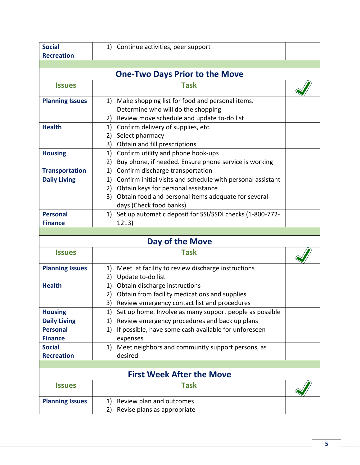| <b>Social</b>                         | 1) Continue activities, peer support                              |  |  |  |  |
|---------------------------------------|-------------------------------------------------------------------|--|--|--|--|
| <b>Recreation</b>                     |                                                                   |  |  |  |  |
|                                       |                                                                   |  |  |  |  |
| <b>One-Two Days Prior to the Move</b> |                                                                   |  |  |  |  |
| <b>Issues</b>                         | <b>Task</b>                                                       |  |  |  |  |
| <b>Planning Issues</b>                | Make shopping list for food and personal items.<br>1)             |  |  |  |  |
|                                       | Determine who will do the shopping                                |  |  |  |  |
|                                       | Review move schedule and update to-do list<br>2)                  |  |  |  |  |
| <b>Health</b>                         | Confirm delivery of supplies, etc.<br>1)                          |  |  |  |  |
|                                       | Select pharmacy<br>2)                                             |  |  |  |  |
|                                       | Obtain and fill prescriptions<br>3)                               |  |  |  |  |
| <b>Housing</b>                        | Confirm utility and phone hook-ups<br>1)                          |  |  |  |  |
|                                       | Buy phone, if needed. Ensure phone service is working<br>2)       |  |  |  |  |
| <b>Transportation</b>                 | Confirm discharge transportation<br>1)                            |  |  |  |  |
| <b>Daily Living</b>                   | Confirm initial visits and schedule with personal assistant<br>1) |  |  |  |  |
|                                       | Obtain keys for personal assistance<br>2)                         |  |  |  |  |
|                                       | Obtain food and personal items adequate for several<br>3)         |  |  |  |  |
|                                       | days (Check food banks)                                           |  |  |  |  |
| <b>Personal</b>                       | 1) Set up automatic deposit for SSI/SSDI checks (1-800-772-       |  |  |  |  |
| <b>Finance</b>                        | 1213)                                                             |  |  |  |  |
|                                       |                                                                   |  |  |  |  |
|                                       |                                                                   |  |  |  |  |
|                                       | Day of the Move                                                   |  |  |  |  |
| <b>Issues</b>                         | <b>Task</b>                                                       |  |  |  |  |
| <b>Planning Issues</b>                | Meet at facility to review discharge instructions<br>1)           |  |  |  |  |
|                                       | Update to-do list<br>2)                                           |  |  |  |  |
| <b>Health</b>                         | Obtain discharge instructions<br>1)                               |  |  |  |  |
|                                       | 2) Obtain from facility medications and supplies                  |  |  |  |  |
|                                       | 3) Review emergency contact list and procedures                   |  |  |  |  |
| <b>Housing</b>                        | Set up home. Involve as many support people as possible<br>1)     |  |  |  |  |
| <b>Daily Living</b>                   | Review emergency procedures and back up plans<br>1)               |  |  |  |  |
| <b>Personal</b>                       | If possible, have some cash available for unforeseen<br>1)        |  |  |  |  |
| <b>Finance</b>                        | expenses                                                          |  |  |  |  |
| <b>Social</b>                         | Meet neighbors and community support persons, as<br>1)            |  |  |  |  |
| <b>Recreation</b>                     | desired                                                           |  |  |  |  |
|                                       |                                                                   |  |  |  |  |
|                                       | <b>First Week After the Move</b>                                  |  |  |  |  |
| <b>Issues</b>                         | <b>Task</b>                                                       |  |  |  |  |
| <b>Planning Issues</b>                | Review plan and outcomes<br>1)                                    |  |  |  |  |